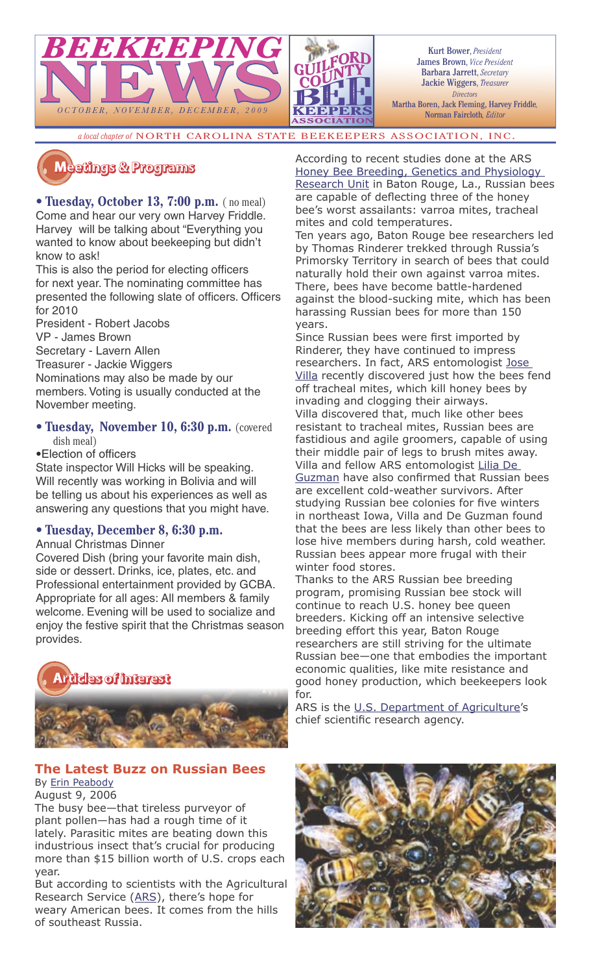

Kurt Bower, *President* James Brown, *Vice President* Barbara Jarrett, *Secretary* Jackie Wiggers, *Treasurer Directors* Martha Boren, Jack Fleming, Harvey Friddle*,*  Norman Faircloth*, Editor*

*a local chapter of* NORTH CAROLINA STATE BEEKEEPERS ASSOCIATION, INC.

## $M$ eeüngs & Programs

• **Tuesday, October 13, 7:00 p.m.** ( no meal) Come and hear our very own Harvey Friddle. Harvey will be talking about "Everything you wanted to know about beekeeping but didn't know to ask!

This is also the period for electing officers for next year. The nominating committee has presented the following slate of officers. Officers for 2010

President - Robert Jacobs

VP - James Brown

Secretary - Lavern Allen

Treasurer - Jackie Wiggers

Nominations may also be made by our members. Voting is usually conducted at the November meeting.

• **Tuesday, November 10, 6:30 p.m.** (covered dish meal)

• Election of officers

State inspector Will Hicks will be speaking. Will recently was working in Bolivia and will be telling us about his experiences as well as answering any questions that you might have.

## • **Tuesday, December 8, 6:30 p.m.**

Annual Christmas Dinner

Covered Dish (bring your favorite main dish, side or dessert. Drinks, ice, plates, etc. and Professional entertainment provided by GCBA. Appropriate for all ages: All members & family welcome. Evening will be used to socialize and enjoy the festive spirit that the Christmas season provides.



## **The Latest Buzz on Russian Bees**

By Erin Peabody August 9, 2006

The busy bee—that tireless purveyor of plant pollen—has had a rough time of it lately. Parasitic mites are beating down this industrious insect that's crucial for producing more than \$15 billion worth of U.S. crops each year.

But according to scientists with the Agricultural Research Service (ARS), there's hope for weary American bees. It comes from the hills of southeast Russia.

According to recent studies done at the ARS Honey Bee Breeding, Genetics and Physiology Research Unit in Baton Rouge, La., Russian bees are capable of deflecting three of the honey bee's worst assailants: varroa mites, tracheal

mites and cold temperatures. Ten years ago, Baton Rouge bee researchers led by Thomas Rinderer trekked through Russia's Primorsky Territory in search of bees that could naturally hold their own against varroa mites. There, bees have become battle-hardened against the blood-sucking mite, which has been harassing Russian bees for more than 150 years.

Since Russian bees were first imported by Rinderer, they have continued to impress researchers. In fact, ARS entomologist lose Villa recently discovered just how the bees fend off tracheal mites, which kill honey bees by invading and clogging their airways. Villa discovered that, much like other bees resistant to tracheal mites, Russian bees are fastidious and agile groomers, capable of using their middle pair of legs to brush mites away. Villa and fellow ARS entomologist Lilia De Guzman have also confirmed that Russian bees are excellent cold-weather survivors. After studying Russian bee colonies for five winters in northeast Iowa, Villa and De Guzman found that the bees are less likely than other bees to lose hive members during harsh, cold weather. Russian bees appear more frugal with their winter food stores.

Thanks to the ARS Russian bee breeding program, promising Russian bee stock will continue to reach U.S. honey bee queen breeders. Kicking off an intensive selective breeding effort this year, Baton Rouge researchers are still striving for the ultimate Russian bee—one that embodies the important economic qualities, like mite resistance and good honey production, which beekeepers look for.

ARS is the U.S. Department of Agriculture's chief scientific research agency.